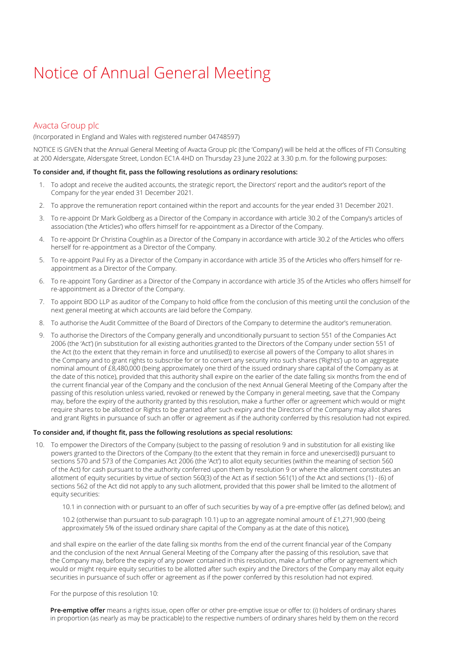# Notice of Annual General Meeting

### Avacta Group plc

(Incorporated in England and Wales with registered number 04748597)

NOTICE IS GIVEN that the Annual General Meeting of Avacta Group plc (the 'Company') will be held at the offices of FTI Consulting at 200 Aldersgate, Aldersgate Street, London EC1A 4HD on Thursday 23 June 2022 at 3.30 p.m. for the following purposes:

#### **To consider and, if thought fit, pass the following resolutions as ordinary resolutions:**

- 1. To adopt and receive the audited accounts, the strategic report, the Directors' report and the auditor's report of the Company for the year ended 31 December 2021.
- 2. To approve the remuneration report contained within the report and accounts for the year ended 31 December 2021.
- 3. To re-appoint Dr Mark Goldberg as a Director of the Company in accordance with article 30.2 of the Company's articles of association ('the Articles') who offers himself for re-appointment as a Director of the Company.
- 4. To re-appoint Dr Christina Coughlin as a Director of the Company in accordance with article 30.2 of the Articles who offers herself for re-appointment as a Director of the Company.
- 5. To re-appoint Paul Fry as a Director of the Company in accordance with article 35 of the Articles who offers himself for reappointment as a Director of the Company.
- 6. To re-appoint Tony Gardiner as a Director of the Company in accordance with article 35 of the Articles who offers himself for re-appointment as a Director of the Company.
- 7. To appoint BDO LLP as auditor of the Company to hold office from the conclusion of this meeting until the conclusion of the next general meeting at which accounts are laid before the Company.
- 8. To authorise the Audit Committee of the Board of Directors of the Company to determine the auditor's remuneration.
- 9. To authorise the Directors of the Company generally and unconditionally pursuant to section 551 of the Companies Act 2006 (the 'Act') (in substitution for all existing authorities granted to the Directors of the Company under section 551 of the Act (to the extent that they remain in force and unutilised)) to exercise all powers of the Company to allot shares in the Company and to grant rights to subscribe for or to convert any security into such shares ('Rights') up to an aggregate nominal amount of £8,480,000 (being approximately one third of the issued ordinary share capital of the Company as at the date of this notice), provided that this authority shall expire on the earlier of the date falling six months from the end of the current financial year of the Company and the conclusion of the next Annual General Meeting of the Company after the passing of this resolution unless varied, revoked or renewed by the Company in general meeting, save that the Company may, before the expiry of the authority granted by this resolution, make a further offer or agreement which would or might require shares to be allotted or Rights to be granted after such expiry and the Directors of the Company may allot shares and grant Rights in pursuance of such an offer or agreement as if the authority conferred by this resolution had not expired.

#### **To consider and, if thought fit, pass the following resolutions as special resolutions:**

- 10. To empower the Directors of the Company (subject to the passing of resolution 9 and in substitution for all existing like powers granted to the Directors of the Company (to the extent that they remain in force and unexercised)) pursuant to sections 570 and 573 of the Companies Act 2006 (the 'Act') to allot equity securities (within the meaning of section 560 of the Act) for cash pursuant to the authority conferred upon them by resolution 9 or where the allotment constitutes an allotment of equity securities by virtue of section 560(3) of the Act as if section 561(1) of the Act and sections (1) - (6) of sections 562 of the Act did not apply to any such allotment, provided that this power shall be limited to the allotment of equity securities:
	- 10.1 in connection with or pursuant to an offer of such securities by way of a pre-emptive offer (as defined below); and

10.2 (otherwise than pursuant to sub-paragraph 10.1) up to an aggregate nominal amount of £1,271,900 (being approximately 5% of the issued ordinary share capital of the Company as at the date of this notice),

and shall expire on the earlier of the date falling six months from the end of the current financial year of the Company and the conclusion of the next Annual General Meeting of the Company after the passing of this resolution, save that the Company may, before the expiry of any power contained in this resolution, make a further offer or agreement which would or might require equity securities to be allotted after such expiry and the Directors of the Company may allot equity securities in pursuance of such offer or agreement as if the power conferred by this resolution had not expired.

For the purpose of this resolution 10:

**Pre-emptive offer** means a rights issue, open offer or other pre-emptive issue or offer to: (i) holders of ordinary shares in proportion (as nearly as may be practicable) to the respective numbers of ordinary shares held by them on the record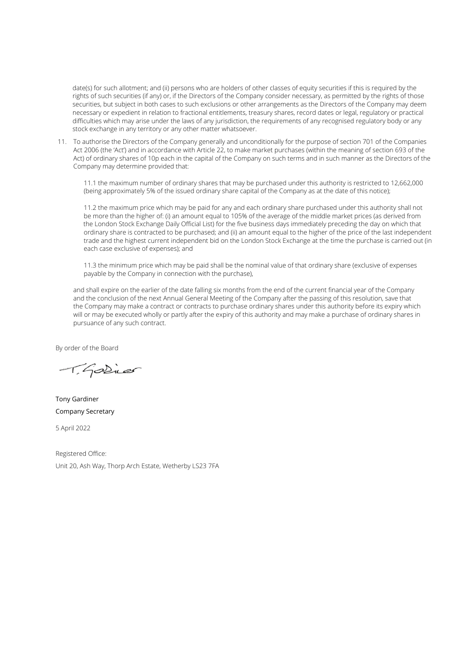date(s) for such allotment; and (ii) persons who are holders of other classes of equity securities if this is required by the rights of such securities (if any) or, if the Directors of the Company consider necessary, as permitted by the rights of those securities, but subject in both cases to such exclusions or other arrangements as the Directors of the Company may deem necessary or expedient in relation to fractional entitlements, treasury shares, record dates or legal, regulatory or practical difficulties which may arise under the laws of any jurisdiction, the requirements of any recognised regulatory body or any stock exchange in any territory or any other matter whatsoever.

11. To authorise the Directors of the Company generally and unconditionally for the purpose of section 701 of the Companies Act 2006 (the 'Act') and in accordance with Article 22, to make market purchases (within the meaning of section 693 of the Act) of ordinary shares of 10p each in the capital of the Company on such terms and in such manner as the Directors of the Company may determine provided that:

11.1 the maximum number of ordinary shares that may be purchased under this authority is restricted to 12,662,000 (being approximately 5% of the issued ordinary share capital of the Company as at the date of this notice);

11.2 the maximum price which may be paid for any and each ordinary share purchased under this authority shall not be more than the higher of: (i) an amount equal to 105% of the average of the middle market prices (as derived from the London Stock Exchange Daily Official List) for the five business days immediately preceding the day on which that ordinary share is contracted to be purchased; and (ii) an amount equal to the higher of the price of the last independent trade and the highest current independent bid on the London Stock Exchange at the time the purchase is carried out (in each case exclusive of expenses); and

11.3 the minimum price which may be paid shall be the nominal value of that ordinary share (exclusive of expenses payable by the Company in connection with the purchase),

and shall expire on the earlier of the date falling six months from the end of the current financial year of the Company and the conclusion of the next Annual General Meeting of the Company after the passing of this resolution, save that the Company may make a contract or contracts to purchase ordinary shares under this authority before its expiry which will or may be executed wholly or partly after the expiry of this authority and may make a purchase of ordinary shares in pursuance of any such contract.

By order of the Board

T. Godinar

Tony Gardiner Company Secretary

5 April 2022

Registered Office: Unit 20, Ash Way, Thorp Arch Estate, Wetherby LS23 7FA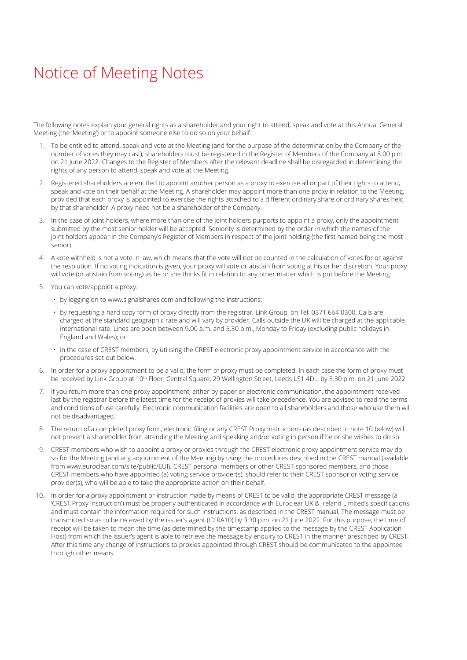## Notice of Meeting Notes

The following notes explain your general rights as a shareholder and your right to attend, speak and vote at this Annual General Meeting (the 'Meeting') or to appoint someone else to do so on your behalf:

- 1. To be entitled to attend, speak and vote at the Meeting (and for the purpose of the determination by the Company of the number of votes they may cast), shareholders must be registered in the Register of Members of the Company at 8.00 p.m. on 21 June 2022. Changes to the Register of Members after the relevant deadline shall be disregarded in determining the rights of any person to attend, speak and vote at the Meeting.
- 2. Registered shareholders are entitled to appoint another person as a proxy to exercise all or part of their rights to attend, speak and vote on their behalf at the Meeting. A shareholder may appoint more than one proxy in relation to the Meeting, provided that each proxy is appointed to exercise the rights attached to a different ordinary share or ordinary shares held by that shareholder. A proxy need not be a shareholder of the Company.
- 3. In the case of joint holders, where more than one of the joint holders purports to appoint a proxy, only the appointment submitted by the most senior holder will be accepted. Seniority is determined by the order in which the names of the joint holders appear in the Company's Register of Members in respect of the joint holding (the first named being the most senior).
- 4. A vote withheld is not a vote in law, which means that the vote will not be counted in the calculation of votes for or against the resolution. If no voting indication is given, your proxy will vote or abstain from voting at his or her discretion. Your proxy will vote (or abstain from voting) as he or she thinks fit in relation to any other matter which is put before the Meeting.
- 5. You can vote/appoint a proxy:
	- by logging on to www.signalshares.com and following the instructions;
	- by requesting a hard copy form of proxy directly from the registrar, Link Group, on Tel: 0371 664 0300. Calls are charged at the standard geographic rate and will vary by provider. Calls outside the UK will be charged at the applicable international rate. Lines are open between 9.00 a.m. and 5.30 p.m., Monday to Friday (excluding public holidays in England and Wales); or
	- in the case of CREST members, by utilising the CREST electronic proxy appointment service in accordance with the procedures set out below.
- 6. In order for a proxy appointment to be a valid, the form of proxy must be completed. In each case the form of proxy must be received by Link Group at 10<sup>th</sup> Floor, Central Square, 29 Wellington Street, Leeds LS1 4DL, by 3.30 p.m. on 21 June 2022.
- 7. If you return more than one proxy appointment, either by paper or electronic communication, the appointment received last by the registrar before the latest time for the receipt of proxies will take precedence. You are advised to read the terms and conditions of use carefully. Electronic communication facilities are open to all shareholders and those who use them will not be disadvantaged.
- 8. The return of a completed proxy form, electronic filing or any CREST Proxy Instructions (as described in note 10 below) will not prevent a shareholder from attending the Meeting and speaking and/or voting in person if he or she wishes to do so.
- 9. CREST members who wish to appoint a proxy or proxies through the CREST electronic proxy appointment service may do so for the Meeting (and any adjournment of the Meeting) by using the procedures described in the CREST manual (available from www.euroclear.com/site/public/EUI). CREST personal members or other CREST sponsored members, and those CREST members who have appointed (a) voting service provider(s), should refer to their CREST sponsor or voting service provider(s), who will be able to take the appropriate action on their behalf.
- 10. In order for a proxy appointment or instruction made by means of CREST to be valid, the appropriate CREST message (a 'CREST Proxy Instruction') must be properly authenticated in accordance with Euroclear UK & Ireland Limited's specifications, and must contain the information required for such instructions, as described in the CREST manual. The message must be transmitted so as to be received by the issuer's agent (ID RA10) by 3.30 p.m. on 21 June 2022. For this purpose, the time of receipt will be taken to mean the time (as determined by the timestamp applied to the message by the CREST Application Host) from which the issuer's agent is able to retrieve the message by enquiry to CREST in the manner prescribed by CREST. After this time any change of instructions to proxies appointed through CREST should be communicated to the appointee through other means.